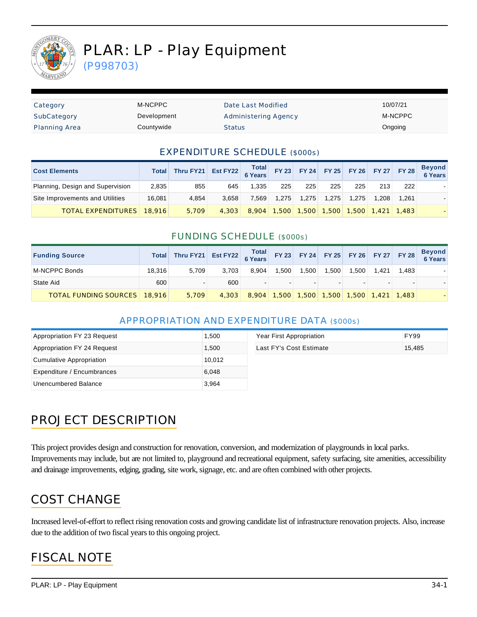

# PLAR: LP - Play Equipment

(P998703)

| Category             | M-NCPPC     | Date Last Modified          | 10/07/21 |
|----------------------|-------------|-----------------------------|----------|
| SubCategory          | Development | <b>Administering Agency</b> | M-NCPPC  |
| <b>Planning Area</b> | Countywide  | <b>Status</b>               | Ongoing  |

#### EXPENDITURE SCHEDULE (\$000s)

| <b>Cost Elements</b>             | <b>Total</b> | Thru FY21 Est FY22 $\begin{array}{ c c c c c c }\n\hline\n\text{Total} & \text{FY 23} & \text{FY 24} & \text{FY 25} & \text{FY 26} & \text{FY 27} & \text{FY 28}\n\hline\n\end{array}$ |       |       |       |       |                 |       |       |                   | <b>Beyond</b><br><b>6 Years</b> |
|----------------------------------|--------------|----------------------------------------------------------------------------------------------------------------------------------------------------------------------------------------|-------|-------|-------|-------|-----------------|-------|-------|-------------------|---------------------------------|
| Planning, Design and Supervision | 2,835        | 855                                                                                                                                                                                    | 645   | 1.335 | 225   | 225   | 225             | 225   | 213   | 222               |                                 |
| Site Improvements and Utilities  | 16.081       | 4.854                                                                                                                                                                                  | 3.658 | 7.569 | 1.275 | 1.275 | 1.275           | 1.275 | 1.208 | 1.261             |                                 |
| <b>TOTAL EXPENDITURES</b>        | 18.916       | 5.709                                                                                                                                                                                  | 4,303 | 8.904 | 1.500 |       | $1,500$ $1,500$ |       |       | 1.500 1.421 1.483 |                                 |

#### FUNDING SCHEDULE (\$000s)

| <b>Funding Source</b>               | Total  | Thru FY21 Est FY22 6 Years FY 23 FY 24 FY 25 FY 26 FY 27 FY 28 |       |       |        |       |                                           |       |       |       | Beyond<br>6 Years |
|-------------------------------------|--------|----------------------------------------------------------------|-------|-------|--------|-------|-------------------------------------------|-------|-------|-------|-------------------|
| M-NCPPC Bonds                       | 18.316 | 5.709                                                          | 3.703 | 8.904 | 1.500  | 1.500 | 1.500                                     | 1.500 | 1.421 | 1.483 |                   |
| State Aid                           | 600    |                                                                | 600   |       | $\sim$ |       |                                           |       |       |       |                   |
| <b>TOTAL FUNDING SOURCES</b> 18,916 |        | 5.709                                                          | 4.303 |       |        |       | 8,904 1,500 1,500 1,500 1,500 1,421 1,483 |       |       |       |                   |

### APPROPRIATION AND EXPENDITURE DATA (\$000s)

| Appropriation FY 23 Request | 1,500  | Year First Appropriation | <b>FY99</b> |
|-----------------------------|--------|--------------------------|-------------|
| Appropriation FY 24 Request | 1.500  | Last FY's Cost Estimate  | 15.485      |
| Cumulative Appropriation    | 10,012 |                          |             |
| Expenditure / Encumbrances  | 6.048  |                          |             |
| Unencumbered Balance        | 3,964  |                          |             |

# PROJECT DESCRIPTION

This project provides design and construction for renovation, conversion, and modernization of playgrounds in local parks. Improvements may include, but are not limited to, playground and recreational equipment, safety surfacing, site amenities, accessibility and drainage improvements, edging, grading, site work, signage, etc. and are often combined with other projects.

## COST CHANGE

Increased level-of-effort to reflect rising renovation costs and growing candidate list of infrastructure renovation projects. Also, increase due to the addition of two fiscal years to this ongoing project.

## FISCAL NOTE